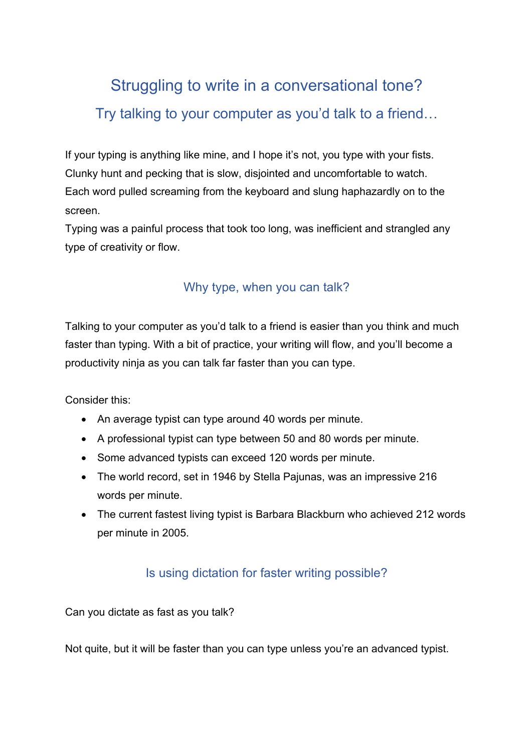# Struggling to write in a conversational tone? Try talking to your computer as you'd talk to a friend…

If your typing is anything like mine, and I hope it's not, you type with your fists. Clunky hunt and pecking that is slow, disjointed and uncomfortable to watch. Each word pulled screaming from the keyboard and slung haphazardly on to the screen.

Typing was a painful process that took too long, was inefficient and strangled any type of creativity or flow.

### Why type, when you can talk?

Talking to your computer as you'd talk to a friend is easier than you think and much faster than typing. With a bit of practice, your writing will flow, and you'll become a productivity ninja as you can talk far faster than you can type.

Consider this:

- An average typist can type around 40 words per minute.
- A professional typist can type between 50 and 80 words per minute.
- Some advanced typists can exceed 120 words per minute.
- The world record, set in 1946 by Stella Pajunas, was an impressive 216 words per minute.
- The current fastest living typist is Barbara Blackburn who achieved 212 words per minute in 2005.

## Is using dictation for faster writing possible?

Can you dictate as fast as you talk?

Not quite, but it will be faster than you can type unless you're an advanced typist.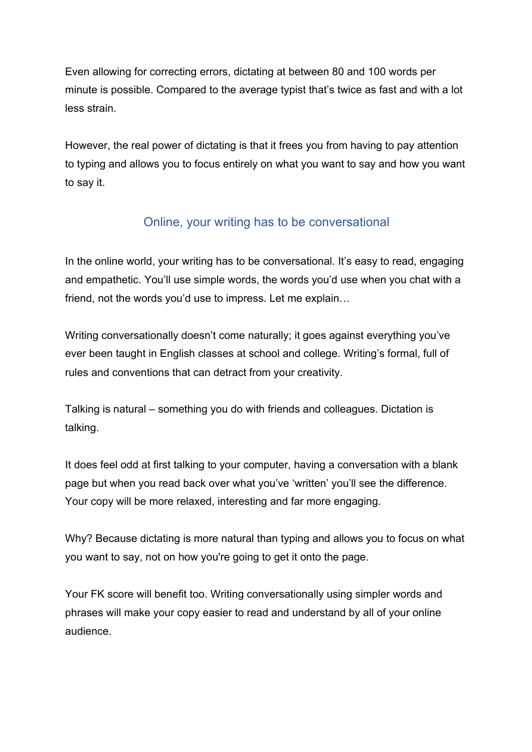Even allowing for correcting errors, dictating at between 80 and 100 words per minute is possible. Compared to the average typist that's twice as fast and with a lot less strain.

However, the real power of dictating is that it frees you from having to pay attention to typing and allows you to focus entirely on what you want to say and how you want to say it.

## Online, your writing has to be conversational

In the online world, your writing has to be conversational. It's easy to read, engaging and empathetic. You'll use simple words, the words you'd use when you chat with a friend, not the words you'd use to impress. Let me explain…

Writing conversationally doesn't come naturally; it goes against everything you've ever been taught in English classes at school and college. Writing's formal, full of rules and conventions that can detract from your creativity.

Talking is natural – something you do with friends and colleagues. Dictation is talking.

It does feel odd at first talking to your computer, having a conversation with a blank page but when you read back over what you've 'written' you'll see the difference. Your copy will be more relaxed, interesting and far more engaging.

Why? Because dictating is more natural than typing and allows you to focus on what you want to say, not on how you're going to get it onto the page.

Your FK score will benefit too. Writing conversationally using simpler words and phrases will make your copy easier to read and understand by all of your online audience.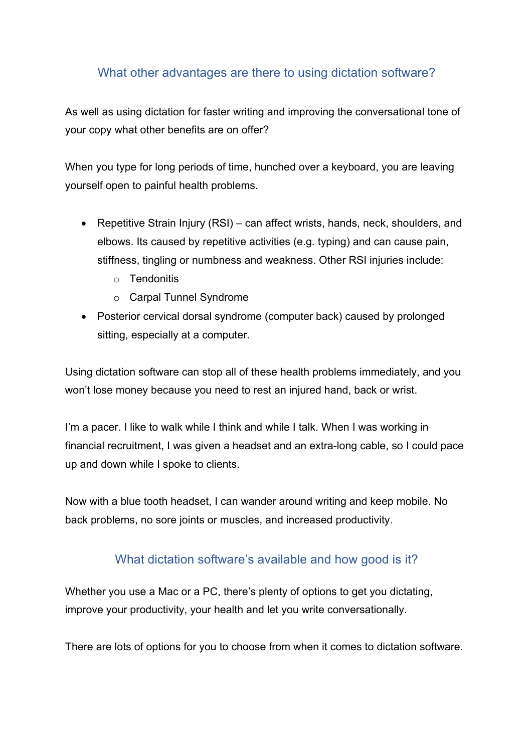#### What other advantages are there to using dictation software?

As well as using dictation for faster writing and improving the conversational tone of your copy what other benefits are on offer?

When you type for long periods of time, hunched over a keyboard, you are leaving yourself open to painful health problems.

- Repetitive Strain Injury (RSI) can affect wrists, hands, neck, shoulders, and elbows. Its caused by repetitive activities (e.g. typing) and can cause pain, stiffness, tingling or numbness and weakness. Other RSI injuries include:
	- o Tendonitis
	- o Carpal Tunnel Syndrome
- Posterior cervical dorsal syndrome (computer back) caused by prolonged sitting, especially at a computer.

Using dictation software can stop all of these health problems immediately, and you won't lose money because you need to rest an injured hand, back or wrist.

I'm a pacer. I like to walk while I think and while I talk. When I was working in financial recruitment, I was given a headset and an extra-long cable, so I could pace up and down while I spoke to clients.

Now with a blue tooth headset, I can wander around writing and keep mobile. No back problems, no sore joints or muscles, and increased productivity.

#### What dictation software's available and how good is it?

Whether you use a Mac or a PC, there's plenty of options to get you dictating, improve your productivity, your health and let you write conversationally.

There are lots of options for you to choose from when it comes to dictation software.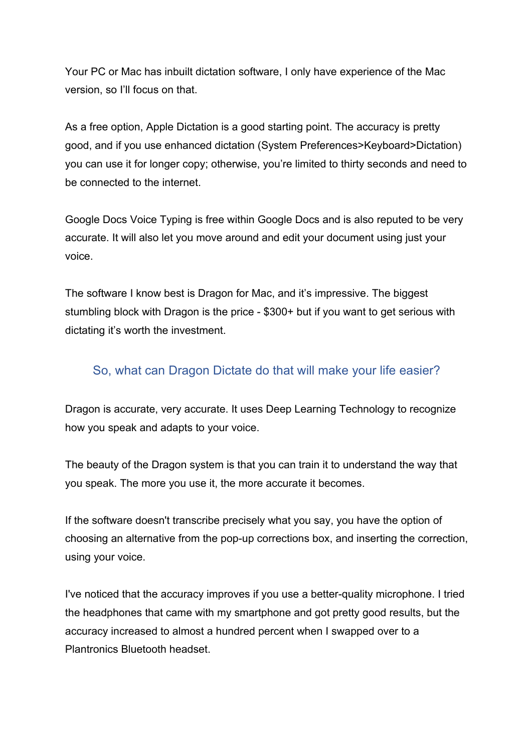Your PC or Mac has inbuilt dictation software, I only have experience of the Mac version, so I'll focus on that.

As a free option, Apple Dictation is a good starting point. The accuracy is pretty good, and if you use enhanced dictation (System Preferences>Keyboard>Dictation) you can use it for longer copy; otherwise, you're limited to thirty seconds and need to be connected to the internet.

Google Docs Voice Typing is free within Google Docs and is also reputed to be very accurate. It will also let you move around and edit your document using just your voice.

The software I know best is Dragon for Mac, and it's impressive. The biggest stumbling block with Dragon is the price - \$300+ but if you want to get serious with dictating it's worth the investment.

#### So, what can Dragon Dictate do that will make your life easier?

Dragon is accurate, very accurate. It uses Deep Learning Technology to recognize how you speak and adapts to your voice.

The beauty of the Dragon system is that you can train it to understand the way that you speak. The more you use it, the more accurate it becomes.

If the software doesn't transcribe precisely what you say, you have the option of choosing an alternative from the pop-up corrections box, and inserting the correction, using your voice.

I've noticed that the accuracy improves if you use a better-quality microphone. I tried the headphones that came with my smartphone and got pretty good results, but the accuracy increased to almost a hundred percent when I swapped over to a Plantronics Bluetooth headset.